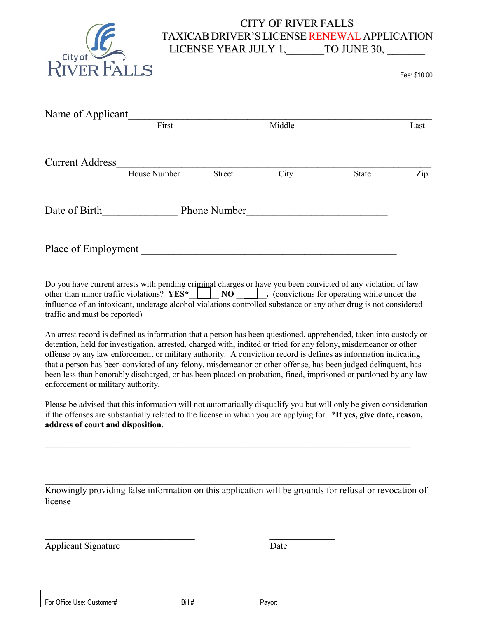

## CITY OF RIVER FALLS TAXICAB DRIVER'S LICENSE RENEWAL APPLICATION LICENSE YEAR JULY 1, TO JUNE 30,

Fee: \$10.00

| Name of Applicant      |                     |               |        |       |      |
|------------------------|---------------------|---------------|--------|-------|------|
|                        | First               |               | Middle |       | Last |
|                        |                     |               |        |       |      |
| <b>Current Address</b> |                     |               |        |       |      |
|                        | House Number        | <b>Street</b> | City   | State | Zip  |
|                        |                     |               |        |       |      |
| Date of Birth          | <b>Phone Number</b> |               |        |       |      |
|                        |                     |               |        |       |      |
|                        |                     |               |        |       |      |
| Place of Employment    |                     |               |        |       |      |

Do you have current arrests with pending criminal charges or have you been convicted of any violation of law other than minor traffic violations? **YES\***  $\parallel$  **NO**  $\parallel$  **.** (convictions for operating while under the influence of an intoxicant, underage alcohol violations controlled substance or any other drug is not considered traffic and must be reported)

An arrest record is defined as information that a person has been questioned, apprehended, taken into custody or detention, held for investigation, arrested, charged with, indited or tried for any felony, misdemeanor or other offense by any law enforcement or military authority. A conviction record is defines as information indicating that a person has been convicted of any felony, misdemeanor or other offense, has been judged delinquent, has been less than honorably discharged, or has been placed on probation, fined, imprisoned or pardoned by any law enforcement or military authority.

Please be advised that this information will not automatically disqualify you but will only be given consideration if the offenses are substantially related to the license in which you are applying for. \***If yes, give date, reason, address of court and disposition**.

 $\mathcal{L}_\mathcal{L} = \{ \mathcal{L}_\mathcal{L} = \{ \mathcal{L}_\mathcal{L} = \{ \mathcal{L}_\mathcal{L} = \{ \mathcal{L}_\mathcal{L} = \{ \mathcal{L}_\mathcal{L} = \{ \mathcal{L}_\mathcal{L} = \{ \mathcal{L}_\mathcal{L} = \{ \mathcal{L}_\mathcal{L} = \{ \mathcal{L}_\mathcal{L} = \{ \mathcal{L}_\mathcal{L} = \{ \mathcal{L}_\mathcal{L} = \{ \mathcal{L}_\mathcal{L} = \{ \mathcal{L}_\mathcal{L} = \{ \mathcal{L}_\mathcal{$ 

 $\mathcal{L}_\mathcal{L} = \{ \mathcal{L}_\mathcal{L} = \{ \mathcal{L}_\mathcal{L} = \{ \mathcal{L}_\mathcal{L} = \{ \mathcal{L}_\mathcal{L} = \{ \mathcal{L}_\mathcal{L} = \{ \mathcal{L}_\mathcal{L} = \{ \mathcal{L}_\mathcal{L} = \{ \mathcal{L}_\mathcal{L} = \{ \mathcal{L}_\mathcal{L} = \{ \mathcal{L}_\mathcal{L} = \{ \mathcal{L}_\mathcal{L} = \{ \mathcal{L}_\mathcal{L} = \{ \mathcal{L}_\mathcal{L} = \{ \mathcal{L}_\mathcal{$ 

 $\_$  ,  $\_$  ,  $\_$  ,  $\_$  ,  $\_$  ,  $\_$  ,  $\_$  ,  $\_$  ,  $\_$  ,  $\_$  ,  $\_$  ,  $\_$  ,  $\_$  ,  $\_$  ,  $\_$  ,  $\_$  ,  $\_$  ,  $\_$  ,  $\_$  ,  $\_$  ,  $\_$  ,  $\_$  ,  $\_$  ,  $\_$  ,  $\_$  ,  $\_$  ,  $\_$  ,  $\_$  ,  $\_$  ,  $\_$  ,  $\_$  ,  $\_$  ,  $\_$  ,  $\_$  ,  $\_$  ,  $\_$  ,  $\_$  ,

Knowingly providing false information on this application will be grounds for refusal or revocation of license

Applicant Signature Date

For Office Use: Customer# Bill # Bill # Payor:

 $\mathcal{L}_\mathcal{L}$  , and the contribution of the contribution of  $\mathcal{L}_\mathcal{L}$